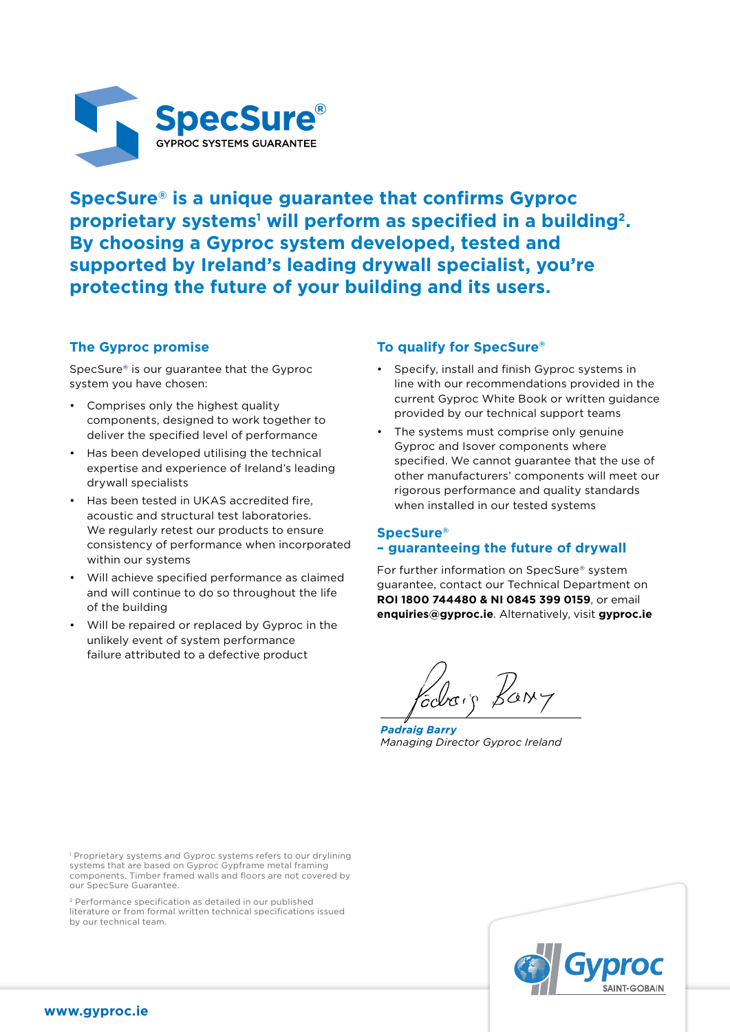

**SpecSure® is a unique guarantee that confirms Gyproc**  proprietary systems<sup>1</sup> will perform as specified in a building<sup>2</sup>. **By choosing a Gyproc system developed, tested and supported by Ireland's leading drywall specialist, you're protecting the future of your building and its users.**

# **The Gyproc promise**

SpecSure® is our guarantee that the Gyproc system you have chosen:

- Comprises only the highest quality components, designed to work together to deliver the specified level of performance
- Has been developed utilising the technical expertise and experience of Ireland's leading drywall specialists
- Has been tested in UKAS accredited fire, acoustic and structural test laboratories. We regularly retest our products to ensure consistency of performance when incorporated within our systems
- Will achieve specified performance as claimed and will continue to do so throughout the life of the building
- Will be repaired or replaced by Gyproc in the unlikely event of system performance failure attributed to a defective product

## **To qualify for SpecSure®**

- Specify, install and finish Gyproc systems in line with our recommendations provided in the current Gyproc White Book or written guidance provided by our technical support teams
- The systems must comprise only genuine Gyproc and Isover components where specified. We cannot guarantee that the use of other manufacturers' components will meet our rigorous performance and quality standards when installed in our tested systems

#### **SpecSure® – guaranteeing the future of drywall**

For further information on SpecSure® system guarantee, contact our Technical Department on **ROI 1800 744480 & NI 0845 399 0159**, or email **enquiries@gyproc.ie**. Alternatively, visit **gyproc.ie**

*Padraig Barry Managing Director Gyproc Ireland*

<sup>1</sup> Proprietary systems and Gyproc systems refers to our drylining systems that are based on Gyproc Gypframe metal framing components. Timber framed walls and floors are not covered by our SpecSure Guarantee.

2 Performance specification as detailed in our published literature or from formal written technical specifications issued by our technical team.